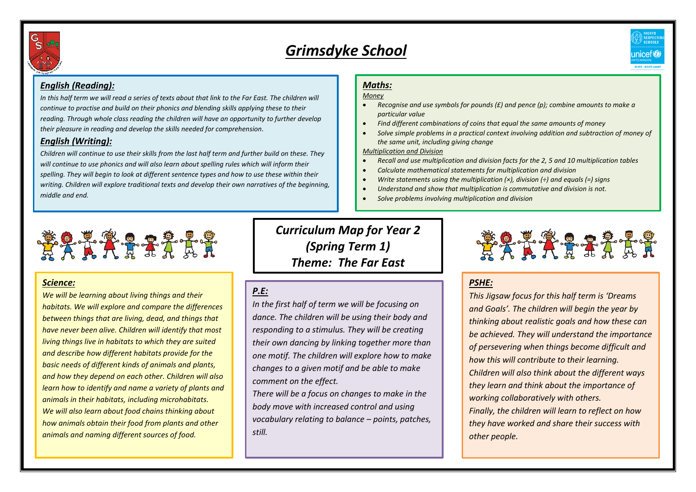

# *Grimsdyke School*



### *English (Reading):*

*In this half term we will read a series of texts about that link to the Far East. The children will continue to practise and build on their phonics and blending skills applying these to their reading. Through whole class reading the children will have an opportunity to further develop their pleasure in reading and develop the skills needed for comprehension.*

### *English (Writing):*

*Children will continue to use their skills from the last half term and further build on these. They will continue to use phonics and will also learn about spelling rules which will inform their spelling. They will begin to look at different sentence types and how to use these within their writing. Children will explore traditional texts and develop their own narratives of the beginning, middle and end.* 

## *Maths:*

#### *Money*

- *Recognise and use symbols for pounds (£) and pence (p); combine amounts to make a particular value*
- *Find different combinations of coins that equal the same amounts of money*
- *Solve simple problems in a practical context involving addition and subtraction of money of the same unit, including giving change*

*Multiplication and Division* 

- *Recall and use multiplication and division facts for the 2, 5 and 10 multiplication tables*
- *Calculate mathematical statements for multiplication and division*
- *Write statements using the multiplication (×), division (÷) and equals (=) signs*
- *Understand and show that multiplication is commutative and division is not.*
- *Solve problems involving multiplication and division*



### *Science:*

*We will be learning about living things and their habitats. We will explore and compare the differences between things that are living, dead, and things that have never been alive. Children will identify that most living things live in habitats to which they are suited and describe how different habitats provide for the basic needs of different kinds of animals and plants, and how they depend on each other. Children will also learn how to identify and name a variety of plants and animals in their habitats, including microhabitats. We will also learn about food chains thinking about how animals obtain their food from plants and other animals and naming different sources of food.*

*Curriculum Map for Year 2 (Spring Term 1) Theme: The Far East*

## *P.E:*

*In the first half of term we will be focusing on dance. The children will be using their body and responding to a stimulus. They will be creating their own dancing by linking together more than one motif. The children will explore how to make changes to a given motif and be able to make comment on the effect.* 

*There will be a focus on changes to make in the body move with increased control and using vocabulary relating to balance – points, patches, still.*



## *PSHE:*

*This Jigsaw focus for this half term is 'Dreams and Goals'. The children will begin the year by thinking about realistic goals and how these can be achieved. They will understand the importance of persevering when things become difficult and how this will contribute to their learning. Children will also think about the different ways they learn and think about the importance of working collaboratively with others. Finally, the children will learn to reflect on how they have worked and share their success with other people.*